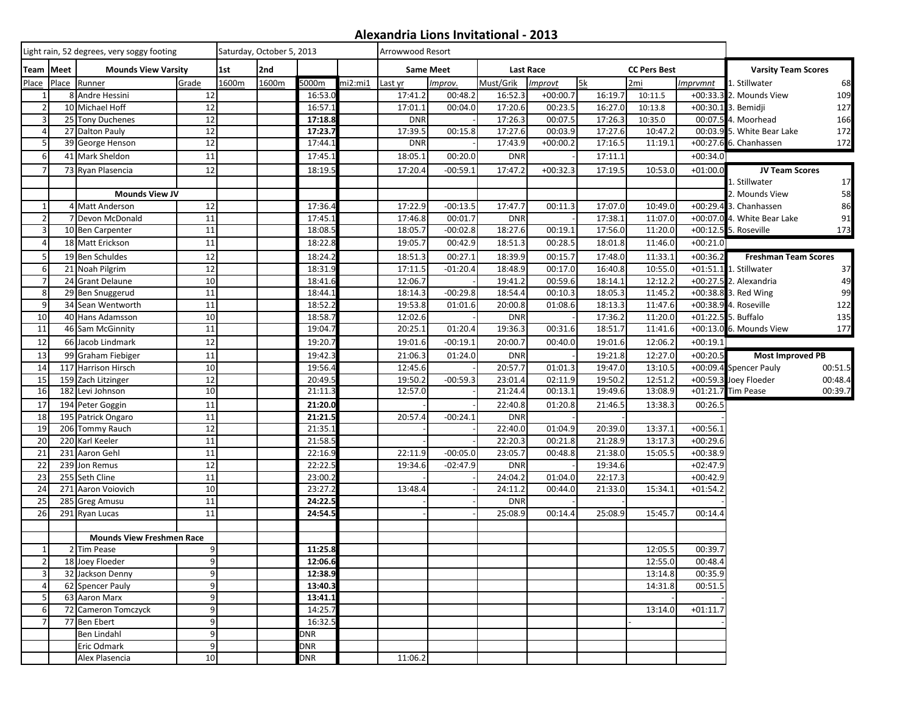## **Alexandria Lions Invitational - 2013**

|                 |                                         | Light rain, 52 degrees, very soggy footing | Saturday, October 5, 2013 |       |       |            | Arrowwood Resort |            |                  |                                  |            |         |         |            |                                   |  |  |
|-----------------|-----------------------------------------|--------------------------------------------|---------------------------|-------|-------|------------|------------------|------------|------------------|----------------------------------|------------|---------|---------|------------|-----------------------------------|--|--|
|                 | Team Meet<br><b>Mounds View Varsity</b> |                                            |                           | 1st   | 2nd   |            |                  |            | <b>Same Meet</b> | Last Race<br><b>CC Pers Best</b> |            |         |         |            | <b>Varsity Team Scores</b>        |  |  |
| Place           |                                         | Place Runner                               | Grade                     | 1600m | 1600m | 5000m      | mi2:mi1          | Last yr    | Improv.          | Must/Grik                        | Improvt    | 5k      | 2mi     | Imprvmnt   | 68<br>1. Stillwater               |  |  |
| $\mathbf{1}$    |                                         | 8 Andre Hessini                            | 12                        |       |       | 16:53.0    |                  | 17:41.2    | 00:48.2          | 16:52.3                          | $+00:00.7$ | 16:19.7 | 10:11.5 |            | 109<br>+00:33.3 2. Mounds View    |  |  |
| $\overline{2}$  |                                         | 10 Michael Hoff                            | 12                        |       |       | 16:57.1    |                  | 17:01.1    | 00:04.0          | 17:20.6                          | 00:23.5    | 16:27.0 | 10:13.8 |            | 127<br>+00:30.1 3. Bemidji        |  |  |
| 3               |                                         | 25 Tony Duchenes                           | 12                        |       |       | 17:18.8    |                  | <b>DNR</b> |                  | 17:26.3                          | 00:07.5    | 17:26.3 | 10:35.0 |            | 166<br>00:07.5 4. Moorhead        |  |  |
| $\overline{4}$  |                                         | 27 Dalton Pauly                            | 12                        |       |       | 17:23.7    |                  | 17:39.5    | 00:15.8          | 17:27.6                          | 00:03.9    | 17:27.6 | 10:47.2 |            | 172<br>00:03.9 5. White Bear Lake |  |  |
| 5               |                                         | 39 George Henson                           | 12                        |       |       | 17:44.1    |                  | <b>DNR</b> |                  | 17:43.9                          | $+00:00.2$ | 17:16.5 | 11:19.1 |            | 172<br>+00:27.6 6. Chanhassen     |  |  |
| 6               |                                         | 41 Mark Sheldon                            | 11                        |       |       | 17:45.1    |                  | 18:05.1    | 00:20.0          | <b>DNR</b>                       |            | 17:11.1 |         | $+00:34.0$ |                                   |  |  |
|                 |                                         | 73 Ryan Plasencia                          | 12                        |       |       | 18:19.     |                  | 17:20.4    | $-00:59.1$       | 17:47.2                          | $+00:32.3$ | 17:19.5 | 10:53.0 | $+01:00.0$ | <b>JV Team Scores</b>             |  |  |
|                 |                                         |                                            |                           |       |       |            |                  |            |                  |                                  |            |         |         |            | 17<br>1. Stillwater               |  |  |
|                 |                                         | <b>Mounds View JV</b>                      |                           |       |       |            |                  |            |                  |                                  |            |         |         |            | 58<br>2. Mounds View              |  |  |
| $\mathbf{1}$    |                                         | 4 Matt Anderson                            | 12                        |       |       | 17:36.4    |                  | 17:22.9    | $-00:13.5$       | 17:47.7                          | 00:11.3    | 17:07.0 | 10:49.0 |            | 86<br>+00:29.4 3. Chanhassen      |  |  |
| $\overline{2}$  |                                         | 7 Devon McDonald                           | 11                        |       |       | 17:45.1    |                  | 17:46.8    | 00:01.7          | <b>DNR</b>                       |            | 17:38.1 | 11:07.0 |            | +00:07.0 4. White Bear Lake<br>91 |  |  |
| 3               |                                         | 10 Ben Carpenter                           | 11                        |       |       | 18:08.5    |                  | 18:05.7    | $-00:02.8$       | 18:27.6                          | 00:19.1    | 17:56.0 | 11:20.0 |            | +00:12.5 5. Roseville<br>173      |  |  |
| $\overline{4}$  |                                         | 18 Matt Erickson                           | 11                        |       |       | 18:22.8    |                  | 19:05.7    | 00:42.9          | 18:51.3                          | 00:28.5    | 18:01.8 | 11:46.0 | $+00:21.0$ |                                   |  |  |
| 5               |                                         | 19 Ben Schuldes                            | 12                        |       |       | 18:24.2    |                  | 18:51.3    | 00:27.1          | 18:39.9                          | 00:15.7    | 17:48.0 | 11:33.1 | $+00:36.2$ | <b>Freshman Team Scores</b>       |  |  |
| 6               |                                         | 21 Noah Pilgrim                            | 12                        |       |       | 18:31.9    |                  | 17:11.5    | $-01:20.4$       | 18:48.9                          | 00:17.0    | 16:40.8 | 10:55.0 |            | +01:51.1 1. Stillwater<br>37      |  |  |
| $\overline{7}$  |                                         | 24 Grant Delaune                           | 10                        |       |       | 18:41.6    |                  | 12:06.7    |                  | 19:41.2                          | 00:59.6    | 18:14.1 | 12:12.2 |            | 49<br>+00:27.5 2. Alexandria      |  |  |
| 8               |                                         | 29 Ben Snuggerud                           | 11                        |       |       | 18:44.1    |                  | 18:14.3    | $-00:29.8$       | 18:54.4                          | 00:10.3    | 18:05.3 | 11:45.2 |            | 99<br>+00:38.8 3. Red Wing        |  |  |
| 9               |                                         | 34 Sean Wentworth                          | 11                        |       |       | 18:52.2    |                  | 19:53.8    | 01:01.6          | $\overline{20:00.8}$             | 01:08.6    | 18:13.3 | 11:47.6 |            | +00:38.9 4. Roseville<br>122      |  |  |
| 10              |                                         | 40 Hans Adamsson                           | 10                        |       |       | 18:58.7    |                  | 12:02.6    |                  | <b>DNR</b>                       |            | 17:36.2 | 11:20.0 |            | +01:22.5 5. Buffalo<br>135        |  |  |
| $\overline{11}$ |                                         | 46 Sam McGinnity                           | 11                        |       |       | 19:04.7    |                  | 20:25.1    | 01:20.4          | 19:36.3                          | 00:31.6    | 18:51.7 | 11:41.6 |            | 177<br>+00:13.0 6. Mounds View    |  |  |
| 12              |                                         | 66 Jacob Lindmark                          | 12                        |       |       | 19:20.7    |                  | 19:01.6    | $-00:19.1$       | 20:00.7                          | 00:40.0    | 19:01.6 | 12:06.2 | $+00:19.1$ |                                   |  |  |
| 13              |                                         | 99 Graham Fiebiger                         | 11                        |       |       | 19:42.3    |                  | 21:06.3    | 01:24.0          | <b>DNR</b>                       |            | 19:21.8 | 12:27.0 | $+00:20.5$ | <b>Most Improved PB</b>           |  |  |
| 14              |                                         | 117 Harrison Hirsch                        | 10                        |       |       | 19:56.4    |                  | 12:45.6    |                  | 20:57.7                          | 01:01.3    | 19:47.0 | 13:10.5 |            | 00:51.5<br>+00:09.4 Spencer Pauly |  |  |
| 15              |                                         | 159 Zach Litzinger                         | 12                        |       |       | 20:49.5    |                  | 19:50.2    | $-00:59.3$       | 23:01.4                          | 02:11.9    | 19:50.2 | 12:51.2 |            | +00:59.3 Joey Floeder<br>00:48.4  |  |  |
| 16              |                                         | 182 Levi Johnson                           | 10                        |       |       | 21:11.3    |                  | 12:57.0    |                  | 21:24.4                          | 00:13.1    | 19:49.6 | 13:08.9 |            | 00:39.7<br>+01:21.7 Tim Pease     |  |  |
| 17              |                                         | 194 Peter Goggin                           | 11                        |       |       | 21:20.0    |                  |            |                  | 22:40.8                          | 01:20.8    | 21:46.5 | 13:38.3 | 00:26.5    |                                   |  |  |
| 18              |                                         | 195 Patrick Ongaro                         | 11                        |       |       | 21:21.5    |                  | 20:57.4    | $-00:24.1$       | <b>DNR</b>                       |            |         |         |            |                                   |  |  |
| 19              |                                         | 206 Tommy Rauch                            | 12                        |       |       | 21:35.1    |                  |            |                  | 22:40.0                          | 01:04.9    | 20:39.0 | 13:37.1 | $+00:56.1$ |                                   |  |  |
| 20              |                                         | 220 Karl Keeler                            | 11                        |       |       | 21:58.5    |                  |            |                  | 22:20.3                          | 00:21.8    | 21:28.9 | 13:17.3 | $+00:29.6$ |                                   |  |  |
| 21              |                                         | 231 Aaron Gehl                             | 11                        |       |       | 22:16.9    |                  | 22:11.9    | $-00:05.0$       | 23:05.7                          | 00:48.8    | 21:38.0 | 15:05.5 | $+00:38.9$ |                                   |  |  |
| 22              |                                         | 239 Jon Remus                              | 12                        |       |       | 22:22.5    |                  | 19:34.6    | $-02:47.9$       | <b>DNR</b>                       |            | 19:34.6 |         | $+02:47.9$ |                                   |  |  |
| 23              |                                         | 255 Seth Cline                             | 11                        |       |       | 23:00.2    |                  |            |                  | 24:04.2                          | 01:04.0    | 22:17.3 |         | $+00:42.9$ |                                   |  |  |
| 24              |                                         | 271 Aaron Voiovich                         | $10$                      |       |       | 23:27.2    |                  | 13:48.4    |                  | 24:11.2                          | 00:44.0    | 21:33.0 | 15:34.1 | $+01:54.2$ |                                   |  |  |
| 25              |                                         | 285 Greg Amusu                             | 11                        |       |       | 24:22.5    |                  |            |                  | <b>DNR</b>                       |            |         |         |            |                                   |  |  |
| 26              |                                         | 291 Ryan Lucas                             | 11                        |       |       | 24:54.5    |                  |            |                  | 25:08.9                          | 00:14.4    | 25:08.9 | 15:45.7 | 00:14.4    |                                   |  |  |
|                 |                                         |                                            |                           |       |       |            |                  |            |                  |                                  |            |         |         |            |                                   |  |  |
|                 |                                         | <b>Mounds View Freshmen Race</b>           |                           |       |       |            |                  |            |                  |                                  |            |         |         |            |                                   |  |  |
| $\mathbf{1}$    |                                         | 2 Tim Pease                                | 9                         |       |       | 11:25.8    |                  |            |                  |                                  |            |         | 12:05.5 | 00:39.7    |                                   |  |  |
| $\overline{2}$  |                                         | 18 Joey Floeder                            | $\overline{9}$            |       |       | 12:06.6    |                  |            |                  |                                  |            |         | 12:55.0 | 00:48.4    |                                   |  |  |
| 3               |                                         | 32 Jackson Denny                           | 9                         |       |       | 12:38.9    |                  |            |                  |                                  |            |         | 13:14.8 | 00:35.9    |                                   |  |  |
|                 |                                         | 62 Spencer Pauly                           | 9                         |       |       | 13:40.3    |                  |            |                  |                                  |            |         | 14:31.8 | 00:51.5    |                                   |  |  |
| 5               |                                         | 63 Aaron Marx                              | 9                         |       |       | 13:41.1    |                  |            |                  |                                  |            |         |         |            |                                   |  |  |
| 6               |                                         | 72 Cameron Tomczyck                        | 9                         |       |       | 14:25.7    |                  |            |                  |                                  |            |         | 13:14.0 | $+01:11.7$ |                                   |  |  |
|                 |                                         | 77 Ben Ebert                               | 9                         |       |       | 16:32.5    |                  |            |                  |                                  |            |         |         |            |                                   |  |  |
|                 |                                         | Ben Lindahl                                | 9                         |       |       | <b>DNR</b> |                  |            |                  |                                  |            |         |         |            |                                   |  |  |
|                 |                                         | Eric Odmark                                | 9                         |       |       | <b>DNR</b> |                  |            |                  |                                  |            |         |         |            |                                   |  |  |
|                 |                                         | Alex Plasencia                             | 10                        |       |       | <b>DNR</b> |                  | 11:06.2    |                  |                                  |            |         |         |            |                                   |  |  |